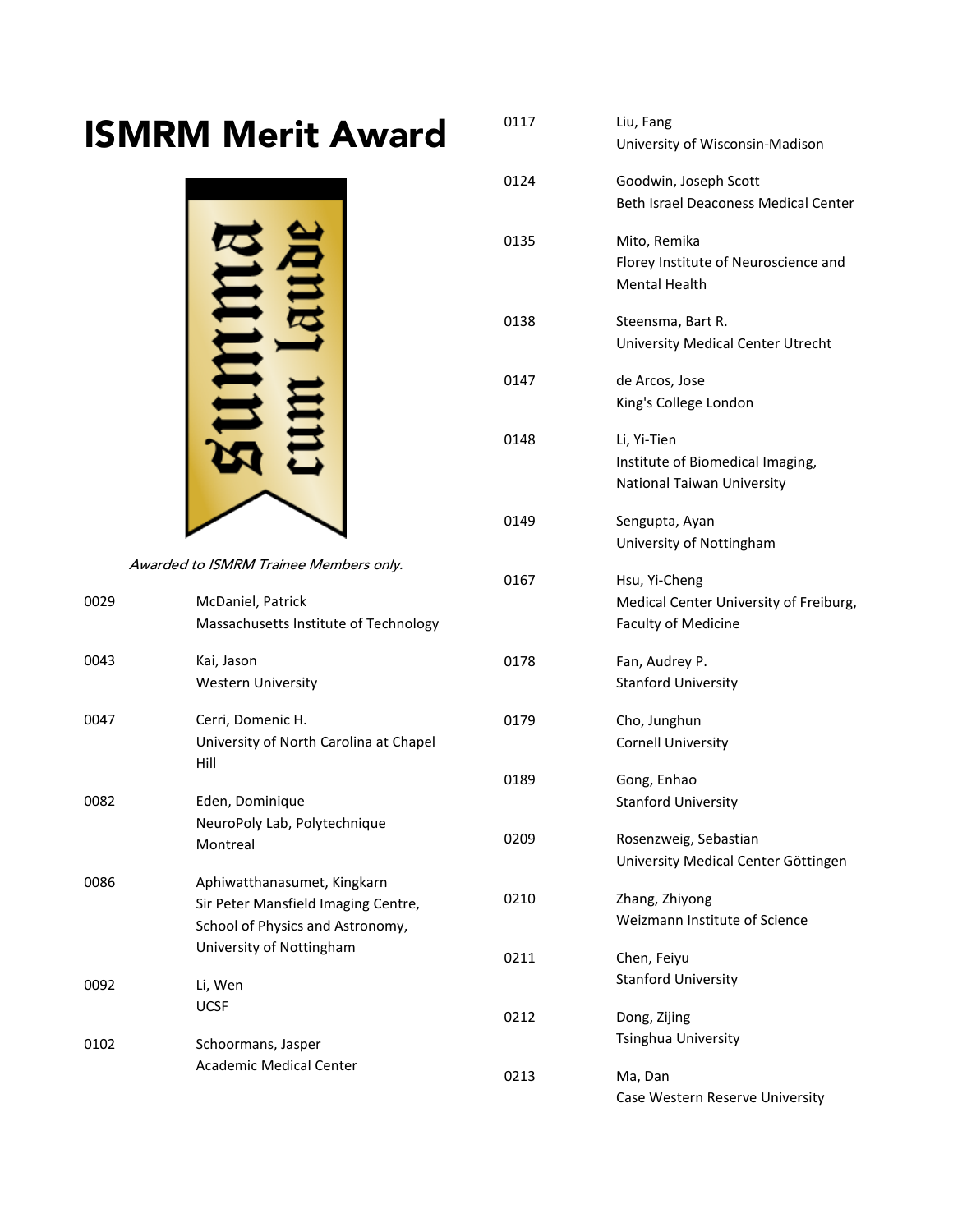## ISMRM Merit Award



Awarded to ISMRM Trainee Members only.

| 0029 | McDaniel, Patrick<br>Massachusetts Institute of Technology                                                                         | --         |
|------|------------------------------------------------------------------------------------------------------------------------------------|------------|
| 0043 | Kai, Jason<br><b>Western University</b>                                                                                            | 017        |
| 0047 | Cerri, Domenic H.<br>University of North Carolina at Chapel<br>Hill                                                                | 017        |
|      |                                                                                                                                    | 018        |
| 0082 | Eden, Dominique<br>NeuroPoly Lab, Polytechnique<br>Montreal                                                                        | 020        |
| 0086 | Aphiwatthanasumet, Kingkarn<br>Sir Peter Mansfield Imaging Centre,<br>School of Physics and Astronomy,<br>University of Nottingham | 021<br>021 |
| 0092 | Li, Wen                                                                                                                            |            |
|      | <b>UCSF</b>                                                                                                                        | 021        |
| 0102 | Schoormans, Jasper                                                                                                                 |            |
|      | <b>Academic Medical Center</b>                                                                                                     | በን1        |

| 0117 | Liu, Fang<br>University of Wisconsin-Madison                                          |
|------|---------------------------------------------------------------------------------------|
| 0124 | Goodwin, Joseph Scott<br>Beth Israel Deaconess Medical Center                         |
| 0135 | Mito, Remika<br>Florey Institute of Neuroscience and<br><b>Mental Health</b>          |
| 0138 | Steensma, Bart R.<br>University Medical Center Utrecht                                |
| 0147 | de Arcos, Jose<br>King's College London                                               |
| 0148 | Li, Yi-Tien<br>Institute of Biomedical Imaging,<br>National Taiwan University         |
| 0149 | Sengupta, Ayan<br>University of Nottingham                                            |
| 0167 | Hsu, Yi-Cheng<br>Medical Center University of Freiburg,<br><b>Faculty of Medicine</b> |
| 0178 | Fan, Audrey P.<br><b>Stanford University</b>                                          |
| 0179 | Cho, Junghun<br><b>Cornell University</b>                                             |
| 0189 | Gong, Enhao<br><b>Stanford University</b>                                             |
| 0209 | Rosenzweig, Sebastian<br>University Medical Center Göttingen                          |
| 0210 | Zhang, Zhiyong<br>Weizmann Institute of Science                                       |
| 0211 | Chen, Feiyu<br><b>Stanford University</b>                                             |
| 0212 | Dong, Zijing<br>Tsinghua University                                                   |
| 0213 | Ma, Dan<br>Case Western Reserve University                                            |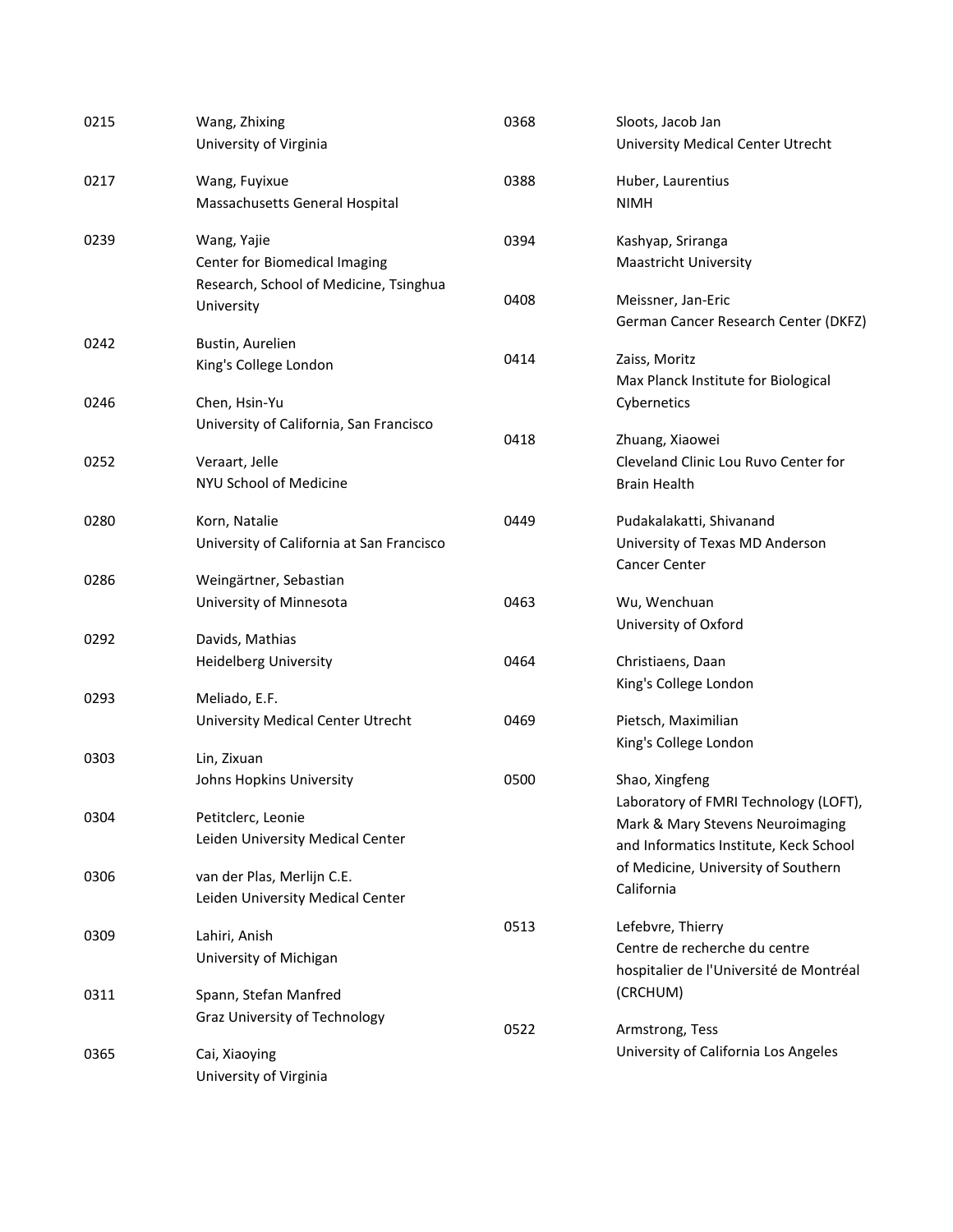| 0215 | Wang, Zhixing<br>University of Virginia   | 0368 | Sloots, Jacob Jan<br>University Medical Center Utrecht |
|------|-------------------------------------------|------|--------------------------------------------------------|
|      |                                           |      |                                                        |
| 0217 | Wang, Fuyixue                             | 0388 | Huber, Laurentius                                      |
|      | Massachusetts General Hospital            |      | <b>NIMH</b>                                            |
| 0239 | Wang, Yajie                               | 0394 | Kashyap, Sriranga                                      |
|      | Center for Biomedical Imaging             |      | Maastricht University                                  |
|      | Research, School of Medicine, Tsinghua    |      |                                                        |
|      | University                                | 0408 | Meissner, Jan-Eric                                     |
|      |                                           |      | German Cancer Research Center (DKFZ)                   |
| 0242 | Bustin, Aurelien                          | 0414 | Zaiss, Moritz                                          |
|      | King's College London                     |      | Max Planck Institute for Biological                    |
| 0246 | Chen, Hsin-Yu                             |      | Cybernetics                                            |
|      | University of California, San Francisco   |      |                                                        |
|      |                                           | 0418 | Zhuang, Xiaowei                                        |
| 0252 | Veraart, Jelle                            |      | Cleveland Clinic Lou Ruvo Center for                   |
|      | NYU School of Medicine                    |      | <b>Brain Health</b>                                    |
| 0280 | Korn, Natalie                             | 0449 | Pudakalakatti, Shivanand                               |
|      | University of California at San Francisco |      | University of Texas MD Anderson                        |
|      |                                           |      | <b>Cancer Center</b>                                   |
| 0286 | Weingärtner, Sebastian                    |      |                                                        |
|      | University of Minnesota                   | 0463 | Wu, Wenchuan                                           |
| 0292 | Davids, Mathias                           |      | University of Oxford                                   |
|      | <b>Heidelberg University</b>              | 0464 | Christiaens, Daan                                      |
|      |                                           |      | King's College London                                  |
| 0293 | Meliado, E.F.                             |      |                                                        |
|      | University Medical Center Utrecht         | 0469 | Pietsch, Maximilian                                    |
|      |                                           |      | King's College London                                  |
| 0303 | Lin, Zixuan                               |      |                                                        |
|      | Johns Hopkins University                  | 0500 | Shao, Xingfeng                                         |
| 0304 | Petitclerc, Leonie                        |      | Laboratory of FMRI Technology (LOFT),                  |
|      | Leiden University Medical Center          |      | Mark & Mary Stevens Neuroimaging                       |
|      |                                           |      | and Informatics Institute, Keck School                 |
| 0306 | van der Plas, Merlijn C.E.                |      | of Medicine, University of Southern                    |
|      | Leiden University Medical Center          |      | California                                             |
| 0309 | Lahiri, Anish                             | 0513 | Lefebvre, Thierry                                      |
|      | University of Michigan                    |      | Centre de recherche du centre                          |
|      |                                           |      | hospitalier de l'Université de Montréal                |
| 0311 | Spann, Stefan Manfred                     |      | (CRCHUM)                                               |
|      | Graz University of Technology             | 0522 | Armstrong, Tess                                        |
| 0365 | Cai, Xiaoying                             |      | University of California Los Angeles                   |
|      | University of Virginia                    |      |                                                        |
|      |                                           |      |                                                        |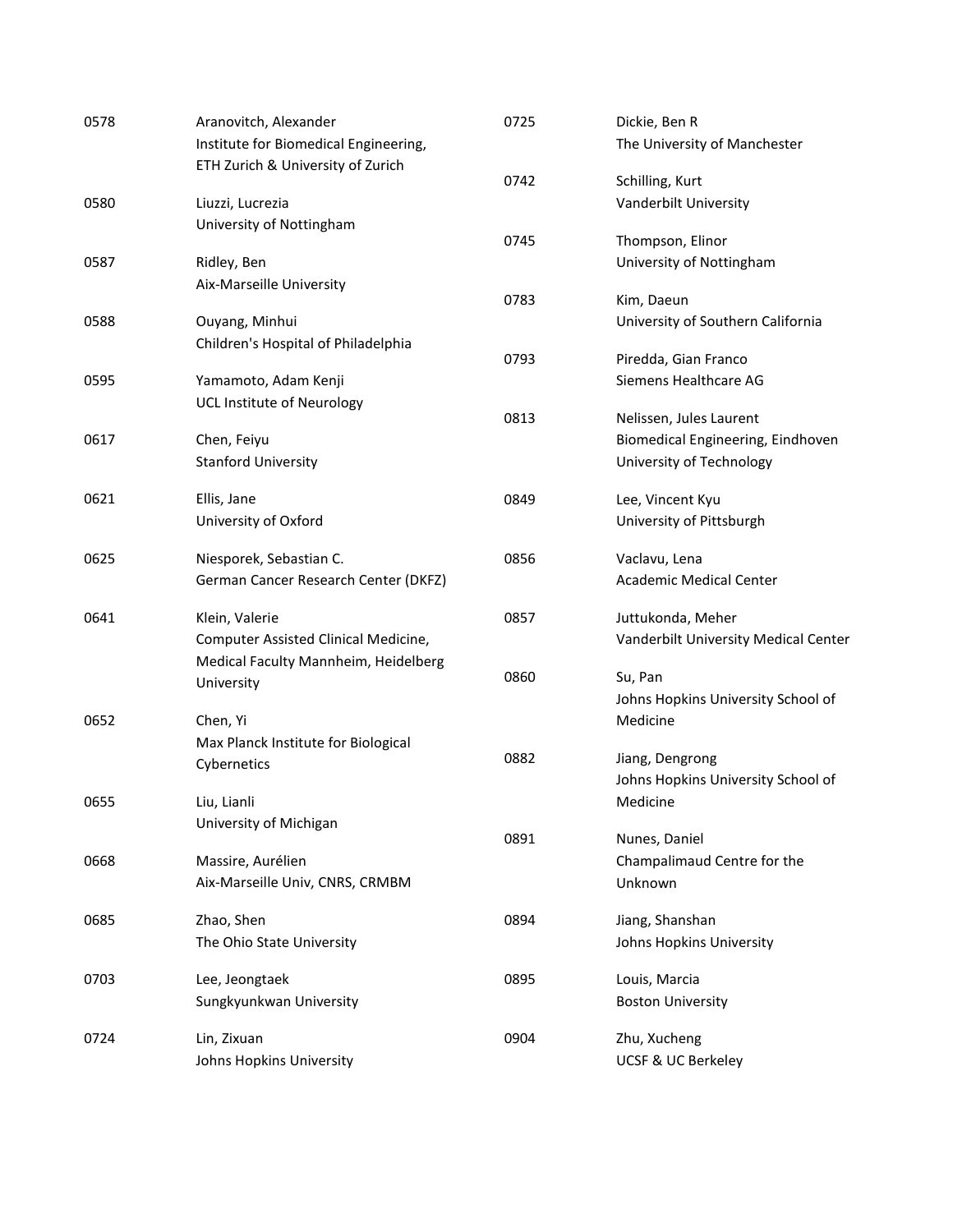| 0578 | Aranovitch, Alexander                 | 0725 | Dickie, Ben R                                  |
|------|---------------------------------------|------|------------------------------------------------|
|      | Institute for Biomedical Engineering, |      | The University of Manchester                   |
|      | ETH Zurich & University of Zurich     |      |                                                |
|      |                                       | 0742 | Schilling, Kurt                                |
| 0580 | Liuzzi, Lucrezia                      |      | Vanderbilt University                          |
|      | University of Nottingham              | 0745 | Thompson, Elinor                               |
| 0587 |                                       |      |                                                |
|      | Ridley, Ben                           |      | University of Nottingham                       |
|      | Aix-Marseille University              | 0783 | Kim, Daeun                                     |
| 0588 | Ouyang, Minhui                        |      | University of Southern California              |
|      | Children's Hospital of Philadelphia   |      |                                                |
|      |                                       | 0793 | Piredda, Gian Franco                           |
| 0595 | Yamamoto, Adam Kenji                  |      | Siemens Healthcare AG                          |
|      | <b>UCL Institute of Neurology</b>     |      |                                                |
|      |                                       | 0813 | Nelissen, Jules Laurent                        |
| 0617 | Chen, Feiyu                           |      | Biomedical Engineering, Eindhoven              |
|      | <b>Stanford University</b>            |      | University of Technology                       |
| 0621 | Ellis, Jane                           | 0849 | Lee, Vincent Kyu                               |
|      | University of Oxford                  |      | University of Pittsburgh                       |
|      |                                       |      |                                                |
| 0625 | Niesporek, Sebastian C.               | 0856 | Vaclavu, Lena                                  |
|      | German Cancer Research Center (DKFZ)  |      | Academic Medical Center                        |
|      |                                       |      |                                                |
| 0641 | Klein, Valerie                        | 0857 | Juttukonda, Meher                              |
|      | Computer Assisted Clinical Medicine,  |      | Vanderbilt University Medical Center           |
|      | Medical Faculty Mannheim, Heidelberg  | 0860 |                                                |
|      | University                            |      | Su, Pan                                        |
|      |                                       |      | Johns Hopkins University School of<br>Medicine |
| 0652 | Chen, Yi                              |      |                                                |
|      | Max Planck Institute for Biological   | 0882 | Jiang, Dengrong                                |
|      | Cybernetics                           |      | Johns Hopkins University School of             |
| 0655 | Liu, Lianli                           |      | Medicine                                       |
|      | University of Michigan                |      |                                                |
|      |                                       | 0891 | Nunes, Daniel                                  |
| 0668 | Massire, Aurélien                     |      | Champalimaud Centre for the                    |
|      | Aix-Marseille Univ, CNRS, CRMBM       |      | Unknown                                        |
|      |                                       |      |                                                |
| 0685 | Zhao, Shen                            | 0894 | Jiang, Shanshan                                |
|      | The Ohio State University             |      | Johns Hopkins University                       |
| 0703 | Lee, Jeongtaek                        | 0895 | Louis, Marcia                                  |
|      | Sungkyunkwan University               |      | <b>Boston University</b>                       |
|      |                                       |      |                                                |
| 0724 | Lin, Zixuan                           | 0904 | Zhu, Xucheng                                   |
|      | Johns Hopkins University              |      | UCSF & UC Berkeley                             |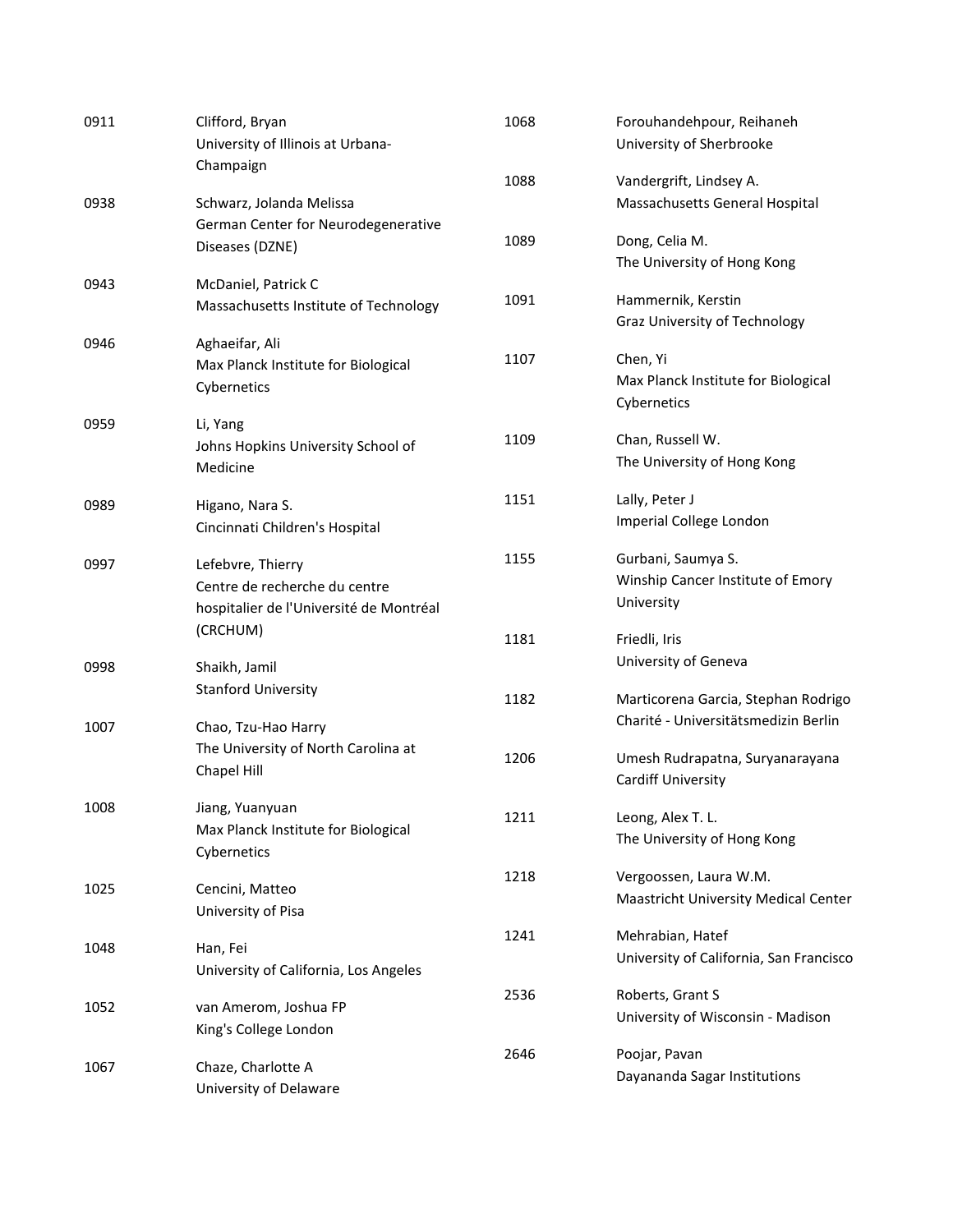| 0911 | Clifford, Bryan<br>University of Illinois at Urbana-                                          | 1068 | Forouhandehpour, Reihaneh<br>University of Sherbrooke                       |
|------|-----------------------------------------------------------------------------------------------|------|-----------------------------------------------------------------------------|
|      | Champaign                                                                                     | 1088 | Vandergrift, Lindsey A.                                                     |
| 0938 | Schwarz, Jolanda Melissa<br>German Center for Neurodegenerative                               |      | Massachusetts General Hospital                                              |
|      | Diseases (DZNE)                                                                               | 1089 | Dong, Celia M.<br>The University of Hong Kong                               |
| 0943 | McDaniel, Patrick C<br>Massachusetts Institute of Technology                                  | 1091 | Hammernik, Kerstin<br>Graz University of Technology                         |
| 0946 | Aghaeifar, Ali<br>Max Planck Institute for Biological<br>Cybernetics                          | 1107 | Chen, Yi<br>Max Planck Institute for Biological<br>Cybernetics              |
| 0959 | Li, Yang<br>Johns Hopkins University School of<br>Medicine                                    | 1109 | Chan, Russell W.<br>The University of Hong Kong                             |
| 0989 | Higano, Nara S.<br>Cincinnati Children's Hospital                                             | 1151 | Lally, Peter J<br>Imperial College London                                   |
| 0997 | Lefebvre, Thierry<br>Centre de recherche du centre<br>hospitalier de l'Université de Montréal | 1155 | Gurbani, Saumya S.<br>Winship Cancer Institute of Emory<br>University       |
|      | (CRCHUM)                                                                                      | 1181 | Friedli, Iris                                                               |
| 0998 | Shaikh, Jamil<br><b>Stanford University</b>                                                   |      | University of Geneva                                                        |
| 1007 | Chao, Tzu-Hao Harry                                                                           | 1182 | Marticorena Garcia, Stephan Rodrigo<br>Charité - Universitätsmedizin Berlin |
|      | The University of North Carolina at<br>Chapel Hill                                            | 1206 | Umesh Rudrapatna, Suryanarayana<br>Cardiff University                       |
| 1008 | Jiang, Yuanyuan<br>Max Planck Institute for Biological<br>Cybernetics                         | 1211 | Leong, Alex T. L.<br>The University of Hong Kong                            |
| 1025 | Cencini, Matteo<br>University of Pisa                                                         | 1218 | Vergoossen, Laura W.M.<br><b>Maastricht University Medical Center</b>       |
| 1048 | Han, Fei<br>University of California, Los Angeles                                             | 1241 | Mehrabian, Hatef<br>University of California, San Francisco                 |
| 1052 | van Amerom, Joshua FP<br>King's College London                                                | 2536 | Roberts, Grant S<br>University of Wisconsin - Madison                       |
| 1067 | Chaze, Charlotte A<br>University of Delaware                                                  | 2646 | Poojar, Pavan<br>Dayananda Sagar Institutions                               |